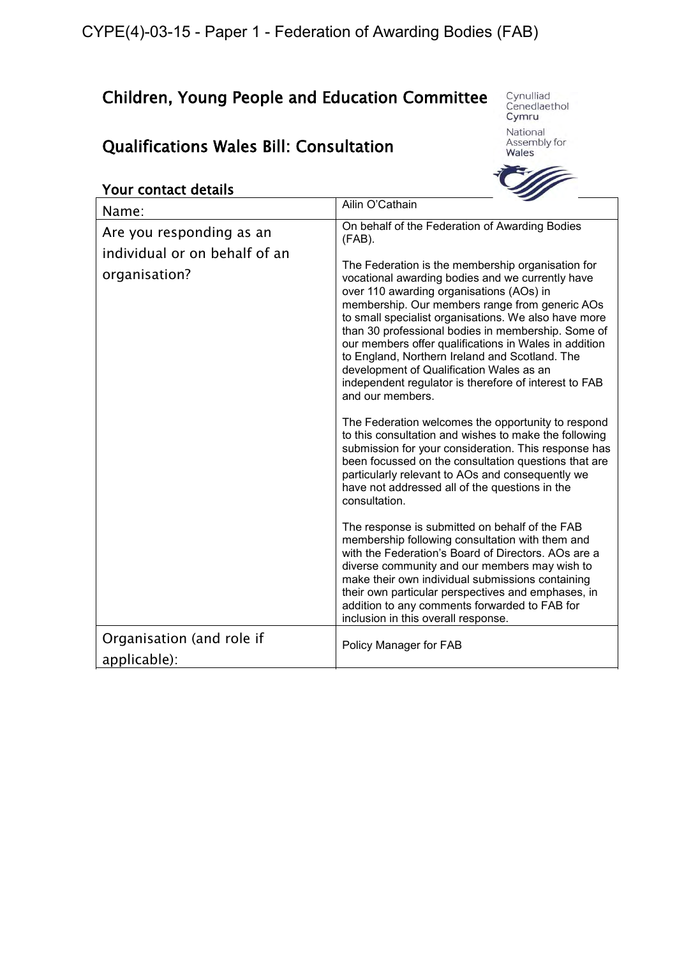# Children, Young People and Education Committee

# Qualifications Wales Bill: Consultation

Cynulliad<br>Cenedlaethol<br>**Cymru** 

National Assembly for Wales



| Your contact details                           |                                                                                                                                                                                                                                                                                                                                                                                                                                                                                                                                                       |
|------------------------------------------------|-------------------------------------------------------------------------------------------------------------------------------------------------------------------------------------------------------------------------------------------------------------------------------------------------------------------------------------------------------------------------------------------------------------------------------------------------------------------------------------------------------------------------------------------------------|
| Name:                                          | Ailin O'Cathain                                                                                                                                                                                                                                                                                                                                                                                                                                                                                                                                       |
| Are you responding as an                       | On behalf of the Federation of Awarding Bodies<br>$(FAB)$ .                                                                                                                                                                                                                                                                                                                                                                                                                                                                                           |
| individual or on behalf of an<br>organisation? | The Federation is the membership organisation for<br>vocational awarding bodies and we currently have<br>over 110 awarding organisations (AOs) in<br>membership. Our members range from generic AOs<br>to small specialist organisations. We also have more<br>than 30 professional bodies in membership. Some of<br>our members offer qualifications in Wales in addition<br>to England, Northern Ireland and Scotland. The<br>development of Qualification Wales as an<br>independent regulator is therefore of interest to FAB<br>and our members. |
|                                                | The Federation welcomes the opportunity to respond<br>to this consultation and wishes to make the following<br>submission for your consideration. This response has<br>been focussed on the consultation questions that are<br>particularly relevant to AOs and consequently we<br>have not addressed all of the questions in the<br>consultation.                                                                                                                                                                                                    |
|                                                | The response is submitted on behalf of the FAB<br>membership following consultation with them and<br>with the Federation's Board of Directors. AOs are a<br>diverse community and our members may wish to<br>make their own individual submissions containing<br>their own particular perspectives and emphases, in<br>addition to any comments forwarded to FAB for<br>inclusion in this overall response.                                                                                                                                           |
| Organisation (and role if<br>applicable):      | Policy Manager for FAB                                                                                                                                                                                                                                                                                                                                                                                                                                                                                                                                |
|                                                |                                                                                                                                                                                                                                                                                                                                                                                                                                                                                                                                                       |

#### Your contact details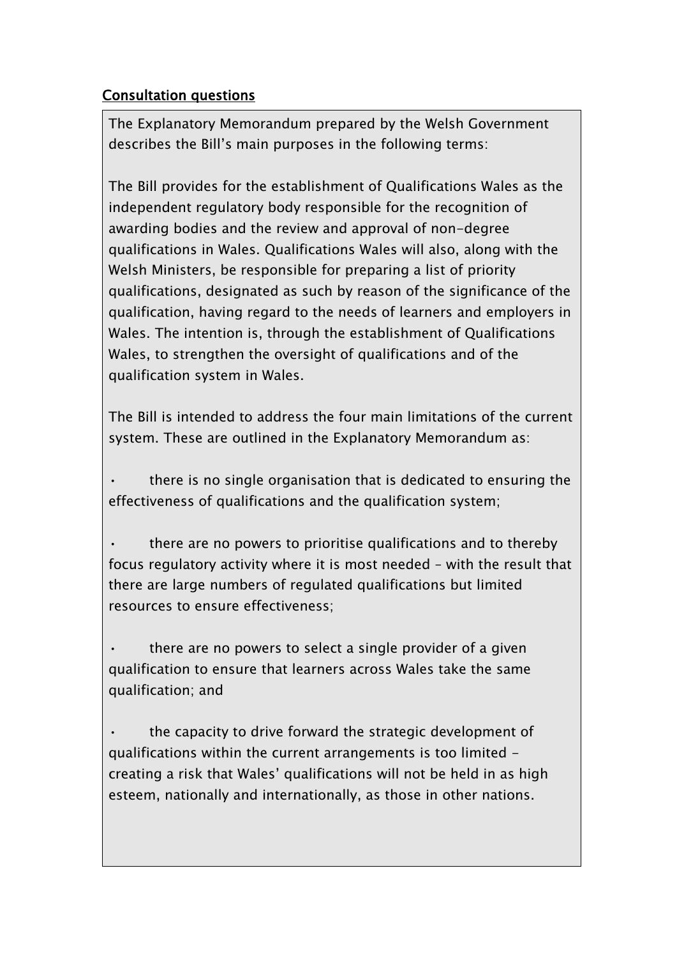## Consultation questions

The Explanatory Memorandum prepared by the Welsh Government describes the Bill's main purposes in the following terms:

The Bill provides for the establishment of Qualifications Wales as the independent regulatory body responsible for the recognition of awarding bodies and the review and approval of non-degree qualifications in Wales. Qualifications Wales will also, along with the Welsh Ministers, be responsible for preparing a list of priority qualifications, designated as such by reason of the significance of the qualification, having regard to the needs of learners and employers in Wales. The intention is, through the establishment of Qualifications Wales, to strengthen the oversight of qualifications and of the qualification system in Wales.

The Bill is intended to address the four main limitations of the current system. These are outlined in the Explanatory Memorandum as:

• there is no single organisation that is dedicated to ensuring the effectiveness of qualifications and the qualification system;

• there are no powers to prioritise qualifications and to thereby focus regulatory activity where it is most needed – with the result that there are large numbers of regulated qualifications but limited resources to ensure effectiveness;

 $\cdot$  there are no powers to select a single provider of a given qualification to ensure that learners across Wales take the same qualification; and

the capacity to drive forward the strategic development of qualifications within the current arrangements is too limited creating a risk that Wales' qualifications will not be held in as high esteem, nationally and internationally, as those in other nations.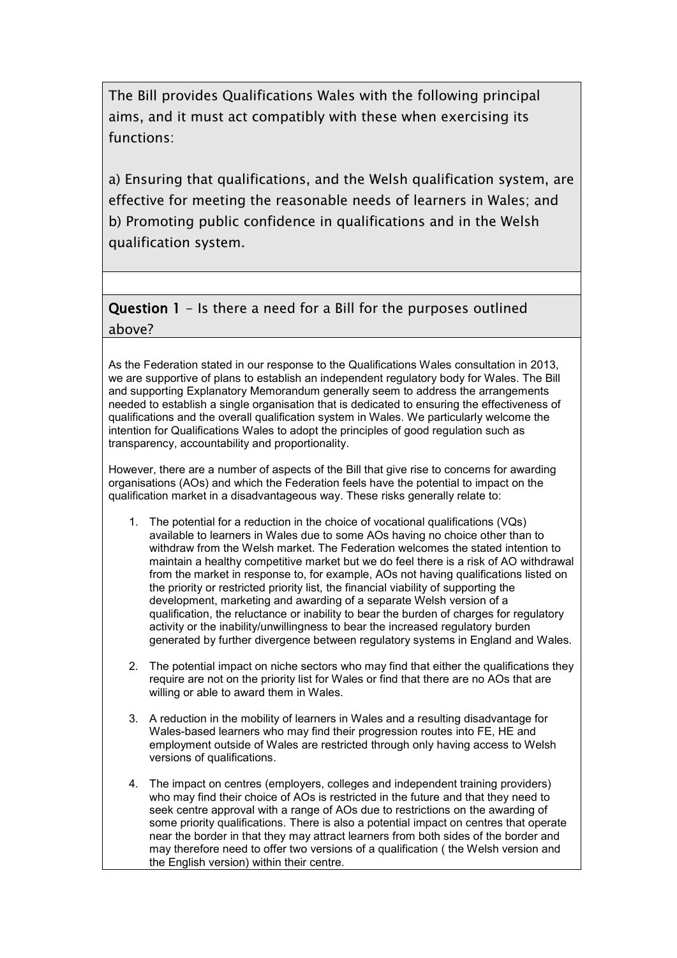The Bill provides Qualifications Wales with the following principal aims, and it must act compatibly with these when exercising its functions:

a) Ensuring that qualifications, and the Welsh qualification system, are effective for meeting the reasonable needs of learners in Wales; and b) Promoting public confidence in qualifications and in the Welsh qualification system.

### Question 1 - Is there a need for a Bill for the purposes outlined above?

As the Federation stated in our response to the Qualifications Wales consultation in 2013, we are supportive of plans to establish an independent regulatory body for Wales. The Bill and supporting Explanatory Memorandum generally seem to address the arrangements needed to establish a single organisation that is dedicated to ensuring the effectiveness of qualifications and the overall qualification system in Wales. We particularly welcome the intention for Qualifications Wales to adopt the principles of good regulation such as transparency, accountability and proportionality.

However, there are a number of aspects of the Bill that give rise to concerns for awarding organisations (AOs) and which the Federation feels have the potential to impact on the qualification market in a disadvantageous way. These risks generally relate to:

- 1. The potential for a reduction in the choice of vocational qualifications (VQs) available to learners in Wales due to some AOs having no choice other than to withdraw from the Welsh market. The Federation welcomes the stated intention to maintain a healthy competitive market but we do feel there is a risk of AO withdrawal from the market in response to, for example, AOs not having qualifications listed on the priority or restricted priority list, the financial viability of supporting the development, marketing and awarding of a separate Welsh version of a qualification, the reluctance or inability to bear the burden of charges for regulatory activity or the inability/unwillingness to bear the increased regulatory burden generated by further divergence between regulatory systems in England and Wales.
- 2. The potential impact on niche sectors who may find that either the qualifications they require are not on the priority list for Wales or find that there are no AOs that are willing or able to award them in Wales.
- 3. A reduction in the mobility of learners in Wales and a resulting disadvantage for Wales-based learners who may find their progression routes into FE, HE and employment outside of Wales are restricted through only having access to Welsh versions of qualifications.
- 4. The impact on centres (employers, colleges and independent training providers) who may find their choice of AOs is restricted in the future and that they need to seek centre approval with a range of AOs due to restrictions on the awarding of some priority qualifications. There is also a potential impact on centres that operate near the border in that they may attract learners from both sides of the border and may therefore need to offer two versions of a qualification ( the Welsh version and the English version) within their centre.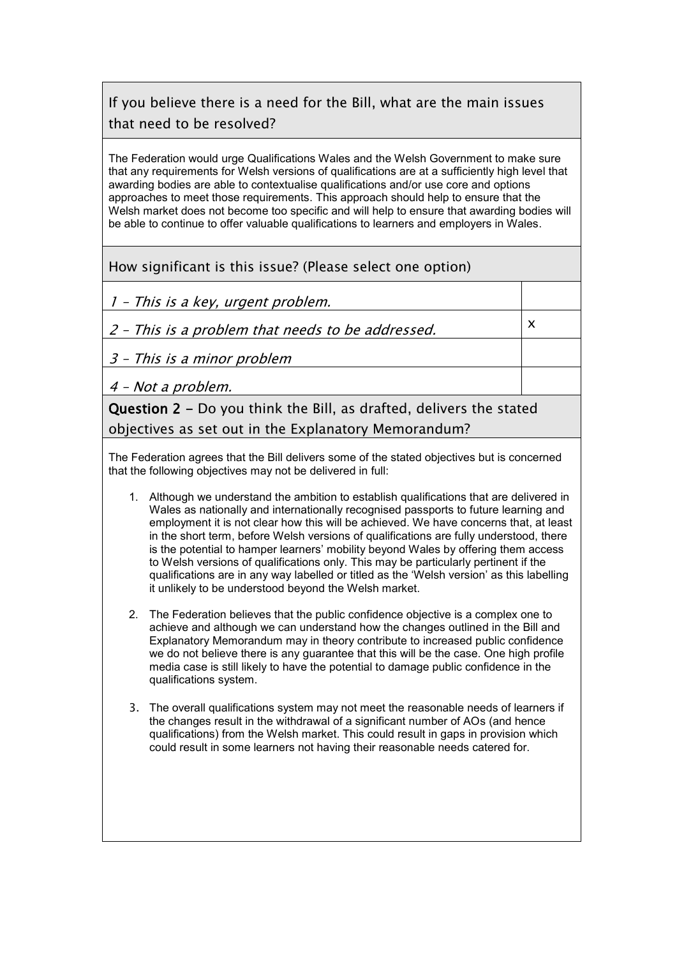# If you believe there is a need for the Bill, what are the main issues that need to be resolved?

The Federation would urge Qualifications Wales and the Welsh Government to make sure that any requirements for Welsh versions of qualifications are at a sufficiently high level that awarding bodies are able to contextualise qualifications and/or use core and options approaches to meet those requirements. This approach should help to ensure that the Welsh market does not become too specific and will help to ensure that awarding bodies will be able to continue to offer valuable qualifications to learners and employers in Wales.

#### How significant is this issue? (Please select one option)

1 – This is a key, urgent problem.

2 – This is a problem that needs to be addressed.

x

3 – This is a minor problem

4 – Not a problem.

Question 2 - Do you think the Bill, as drafted, delivers the stated objectives as set out in the Explanatory Memorandum?

The Federation agrees that the Bill delivers some of the stated objectives but is concerned that the following objectives may not be delivered in full:

- 1. Although we understand the ambition to establish qualifications that are delivered in Wales as nationally and internationally recognised passports to future learning and employment it is not clear how this will be achieved. We have concerns that, at least in the short term, before Welsh versions of qualifications are fully understood, there is the potential to hamper learners' mobility beyond Wales by offering them access to Welsh versions of qualifications only. This may be particularly pertinent if the qualifications are in any way labelled or titled as the 'Welsh version' as this labelling it unlikely to be understood beyond the Welsh market.
- 2. The Federation believes that the public confidence objective is a complex one to achieve and although we can understand how the changes outlined in the Bill and Explanatory Memorandum may in theory contribute to increased public confidence we do not believe there is any guarantee that this will be the case. One high profile media case is still likely to have the potential to damage public confidence in the qualifications system.
- 3. The overall qualifications system may not meet the reasonable needs of learners if the changes result in the withdrawal of a significant number of AOs (and hence qualifications) from the Welsh market. This could result in gaps in provision which could result in some learners not having their reasonable needs catered for.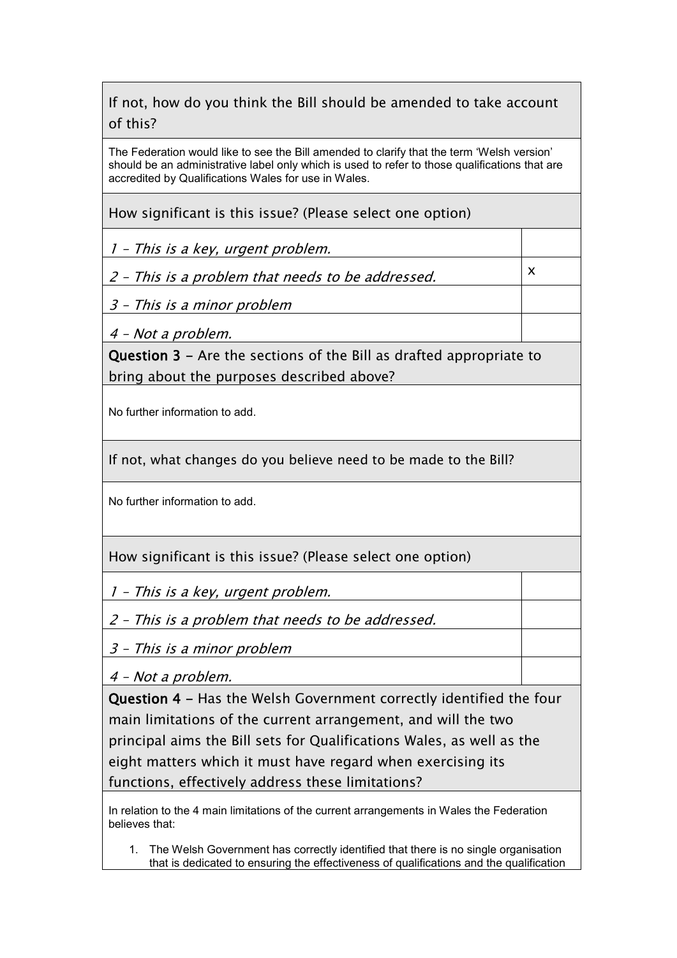## If not, how do you think the Bill should be amended to take account of this?

The Federation would like to see the Bill amended to clarify that the term 'Welsh version' should be an administrative label only which is used to refer to those qualifications that are accredited by Qualifications Wales for use in Wales.

How significant is this issue? (Please select one option)

1 – This is a key, urgent problem.

2 – This is a problem that needs to be addressed.

x

3 – This is a minor problem

4 – Not a problem.

Question 3 - Are the sections of the Bill as drafted appropriate to bring about the purposes described above?

No further information to add.

If not, what changes do you believe need to be made to the Bill?

No further information to add.

How significant is this issue? (Please select one option)

1 – This is a key, urgent problem.

2 – This is a problem that needs to be addressed.

3 – This is a minor problem

4 – Not a problem.

Question 4 - Has the Welsh Government correctly identified the four main limitations of the current arrangement, and will the two principal aims the Bill sets for Qualifications Wales, as well as the eight matters which it must have regard when exercising its functions, effectively address these limitations?

In relation to the 4 main limitations of the current arrangements in Wales the Federation believes that:

1. The Welsh Government has correctly identified that there is no single organisation that is dedicated to ensuring the effectiveness of qualifications and the qualification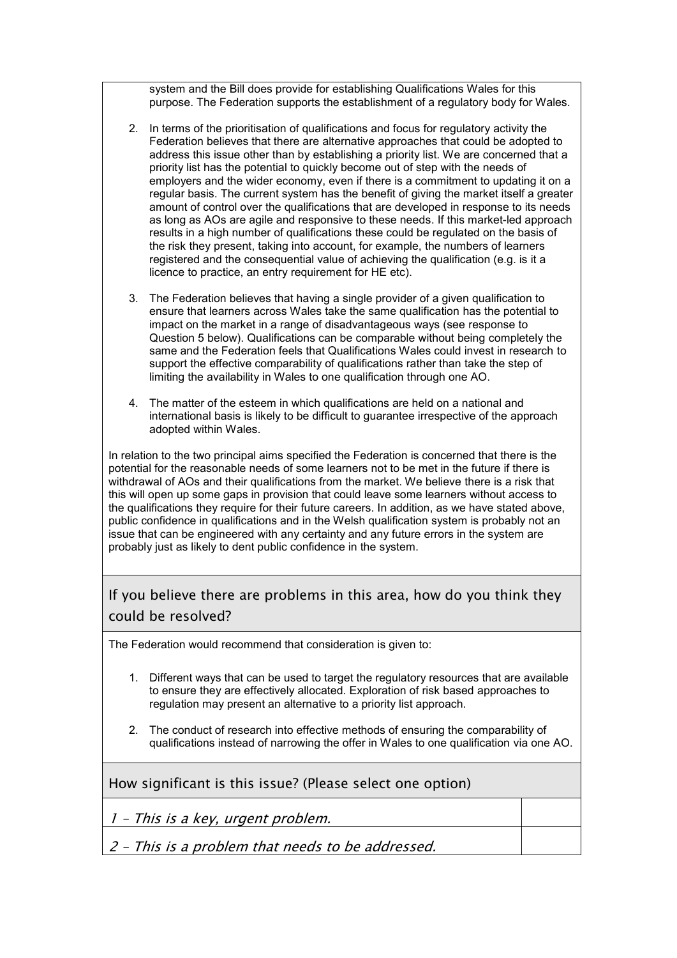system and the Bill does provide for establishing Qualifications Wales for this purpose. The Federation supports the establishment of a regulatory body for Wales.

- 2. In terms of the prioritisation of qualifications and focus for regulatory activity the Federation believes that there are alternative approaches that could be adopted to address this issue other than by establishing a priority list. We are concerned that a priority list has the potential to quickly become out of step with the needs of employers and the wider economy, even if there is a commitment to updating it on a regular basis. The current system has the benefit of giving the market itself a greater amount of control over the qualifications that are developed in response to its needs as long as AOs are agile and responsive to these needs. If this market-led approach results in a high number of qualifications these could be regulated on the basis of the risk they present, taking into account, for example, the numbers of learners registered and the consequential value of achieving the qualification (e.g. is it a licence to practice, an entry requirement for HE etc).
- 3. The Federation believes that having a single provider of a given qualification to ensure that learners across Wales take the same qualification has the potential to impact on the market in a range of disadvantageous ways (see response to Question 5 below). Qualifications can be comparable without being completely the same and the Federation feels that Qualifications Wales could invest in research to support the effective comparability of qualifications rather than take the step of limiting the availability in Wales to one qualification through one AO.
- 4. The matter of the esteem in which qualifications are held on a national and international basis is likely to be difficult to guarantee irrespective of the approach adopted within Wales.

In relation to the two principal aims specified the Federation is concerned that there is the potential for the reasonable needs of some learners not to be met in the future if there is withdrawal of AOs and their qualifications from the market. We believe there is a risk that this will open up some gaps in provision that could leave some learners without access to the qualifications they require for their future careers. In addition, as we have stated above, public confidence in qualifications and in the Welsh qualification system is probably not an issue that can be engineered with any certainty and any future errors in the system are probably just as likely to dent public confidence in the system.

If you believe there are problems in this area, how do you think they could be resolved?

The Federation would recommend that consideration is given to:

- 1. Different ways that can be used to target the regulatory resources that are available to ensure they are effectively allocated. Exploration of risk based approaches to regulation may present an alternative to a priority list approach.
- 2. The conduct of research into effective methods of ensuring the comparability of qualifications instead of narrowing the offer in Wales to one qualification via one AO.

How significant is this issue? (Please select one option)

1 – This is a key, urgent problem.

2 – This is a problem that needs to be addressed.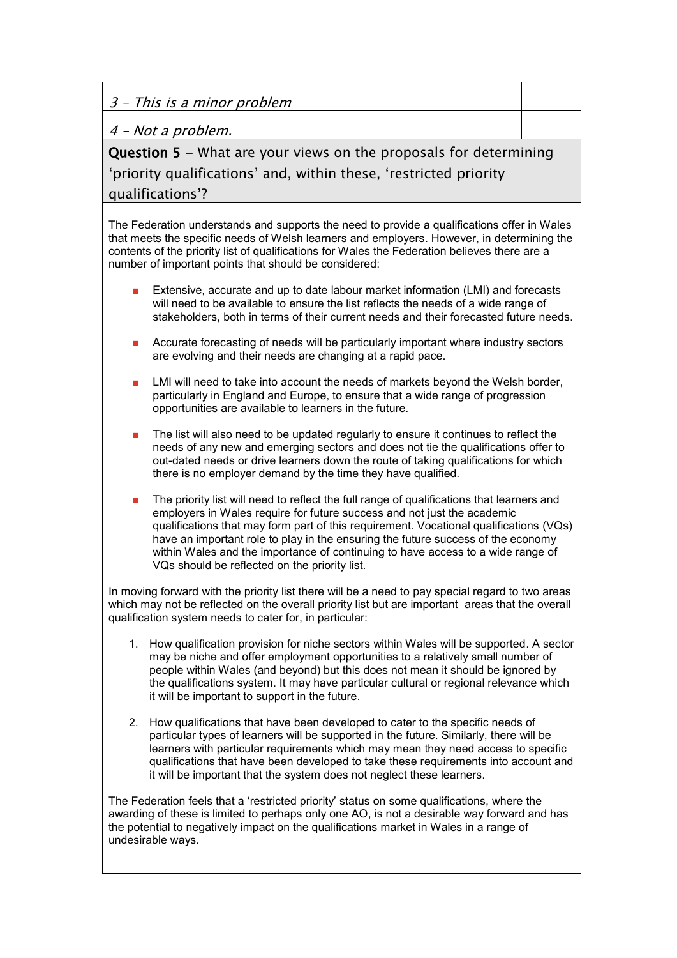3 – This is a minor problem

4 – Not a problem.

Question 5 - What are your views on the proposals for determining 'priority qualifications' and, within these, 'restricted priority qualifications'?

The Federation understands and supports the need to provide a qualifications offer in Wales that meets the specific needs of Welsh learners and employers. However, in determining the contents of the priority list of qualifications for Wales the Federation believes there are a number of important points that should be considered:

- Extensive, accurate and up to date labour market information (LMI) and forecasts will need to be available to ensure the list reflects the needs of a wide range of stakeholders, both in terms of their current needs and their forecasted future needs.
- Accurate forecasting of needs will be particularly important where industry sectors are evolving and their needs are changing at a rapid pace.
- LMI will need to take into account the needs of markets beyond the Welsh border, particularly in England and Europe, to ensure that a wide range of progression opportunities are available to learners in the future.
- The list will also need to be updated regularly to ensure it continues to reflect the needs of any new and emerging sectors and does not tie the qualifications offer to out-dated needs or drive learners down the route of taking qualifications for which there is no employer demand by the time they have qualified.
- The priority list will need to reflect the full range of qualifications that learners and employers in Wales require for future success and not just the academic qualifications that may form part of this requirement. Vocational qualifications (VQs) have an important role to play in the ensuring the future success of the economy within Wales and the importance of continuing to have access to a wide range of VQs should be reflected on the priority list.

In moving forward with the priority list there will be a need to pay special regard to two areas which may not be reflected on the overall priority list but are important areas that the overall qualification system needs to cater for, in particular:

- 1. How qualification provision for niche sectors within Wales will be supported. A sector may be niche and offer employment opportunities to a relatively small number of people within Wales (and beyond) but this does not mean it should be ignored by the qualifications system. It may have particular cultural or regional relevance which it will be important to support in the future.
- 2. How qualifications that have been developed to cater to the specific needs of particular types of learners will be supported in the future. Similarly, there will be learners with particular requirements which may mean they need access to specific qualifications that have been developed to take these requirements into account and it will be important that the system does not neglect these learners.

The Federation feels that a 'restricted priority' status on some qualifications, where the awarding of these is limited to perhaps only one AO, is not a desirable way forward and has the potential to negatively impact on the qualifications market in Wales in a range of undesirable ways.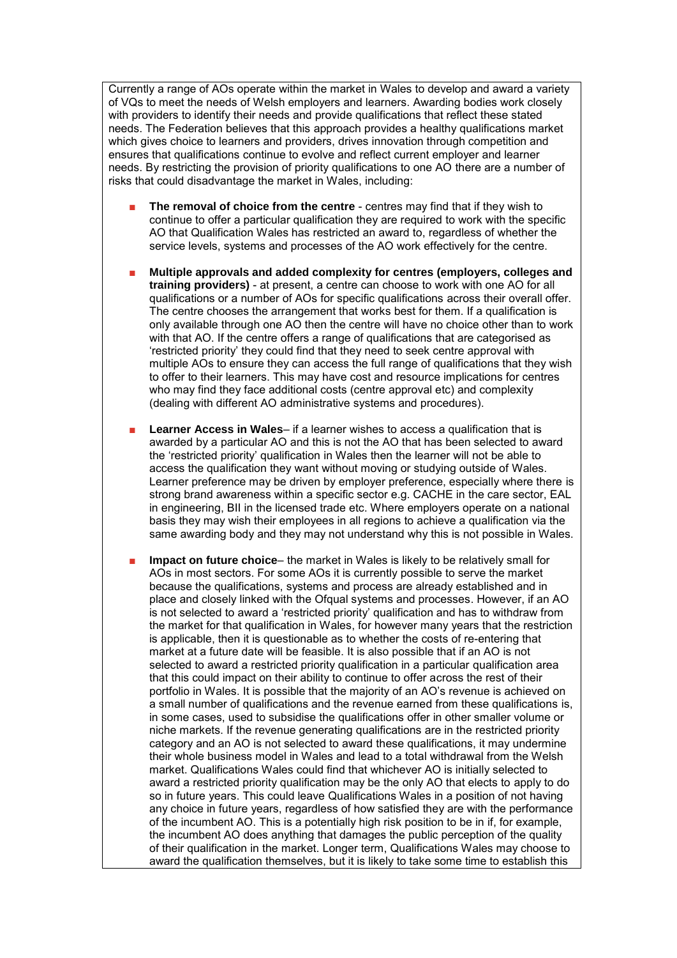Currently a range of AOs operate within the market in Wales to develop and award a variety of VQs to meet the needs of Welsh employers and learners. Awarding bodies work closely with providers to identify their needs and provide qualifications that reflect these stated needs. The Federation believes that this approach provides a healthy qualifications market which gives choice to learners and providers, drives innovation through competition and ensures that qualifications continue to evolve and reflect current employer and learner needs. By restricting the provision of priority qualifications to one AO there are a number of risks that could disadvantage the market in Wales, including:

- **The removal of choice from the centre** centres may find that if they wish to continue to offer a particular qualification they are required to work with the specific AO that Qualification Wales has restricted an award to, regardless of whether the service levels, systems and processes of the AO work effectively for the centre.
- **Multiple approvals and added complexity for centres (employers, colleges and training providers)** - at present, a centre can choose to work with one AO for all qualifications or a number of AOs for specific qualifications across their overall offer. The centre chooses the arrangement that works best for them. If a qualification is only available through one AO then the centre will have no choice other than to work with that AO. If the centre offers a range of qualifications that are categorised as 'restricted priority' they could find that they need to seek centre approval with multiple AOs to ensure they can access the full range of qualifications that they wish to offer to their learners. This may have cost and resource implications for centres who may find they face additional costs (centre approval etc) and complexity (dealing with different AO administrative systems and procedures).
- **Learner Access in Wales-** if a learner wishes to access a qualification that is awarded by a particular AO and this is not the AO that has been selected to award the 'restricted priority' qualification in Wales then the learner will not be able to access the qualification they want without moving or studying outside of Wales. Learner preference may be driven by employer preference, especially where there is strong brand awareness within a specific sector e.g. CACHE in the care sector, EAL in engineering, BII in the licensed trade etc. Where employers operate on a national basis they may wish their employees in all regions to achieve a qualification via the same awarding body and they may not understand why this is not possible in Wales.
- **Impact on future choice** the market in Wales is likely to be relatively small for AOs in most sectors. For some AOs it is currently possible to serve the market because the qualifications, systems and process are already established and in place and closely linked with the Ofqual systems and processes. However, if an AO is not selected to award a 'restricted priority' qualification and has to withdraw from the market for that qualification in Wales, for however many years that the restriction is applicable, then it is questionable as to whether the costs of re-entering that market at a future date will be feasible. It is also possible that if an AO is not selected to award a restricted priority qualification in a particular qualification area that this could impact on their ability to continue to offer across the rest of their portfolio in Wales. It is possible that the majority of an AO's revenue is achieved on a small number of qualifications and the revenue earned from these qualifications is, in some cases, used to subsidise the qualifications offer in other smaller volume or niche markets. If the revenue generating qualifications are in the restricted priority category and an AO is not selected to award these qualifications, it may undermine their whole business model in Wales and lead to a total withdrawal from the Welsh market. Qualifications Wales could find that whichever AO is initially selected to award a restricted priority qualification may be the only AO that elects to apply to do so in future years. This could leave Qualifications Wales in a position of not having any choice in future years, regardless of how satisfied they are with the performance of the incumbent AO. This is a potentially high risk position to be in if, for example, the incumbent AO does anything that damages the public perception of the quality of their qualification in the market. Longer term, Qualifications Wales may choose to award the qualification themselves, but it is likely to take some time to establish this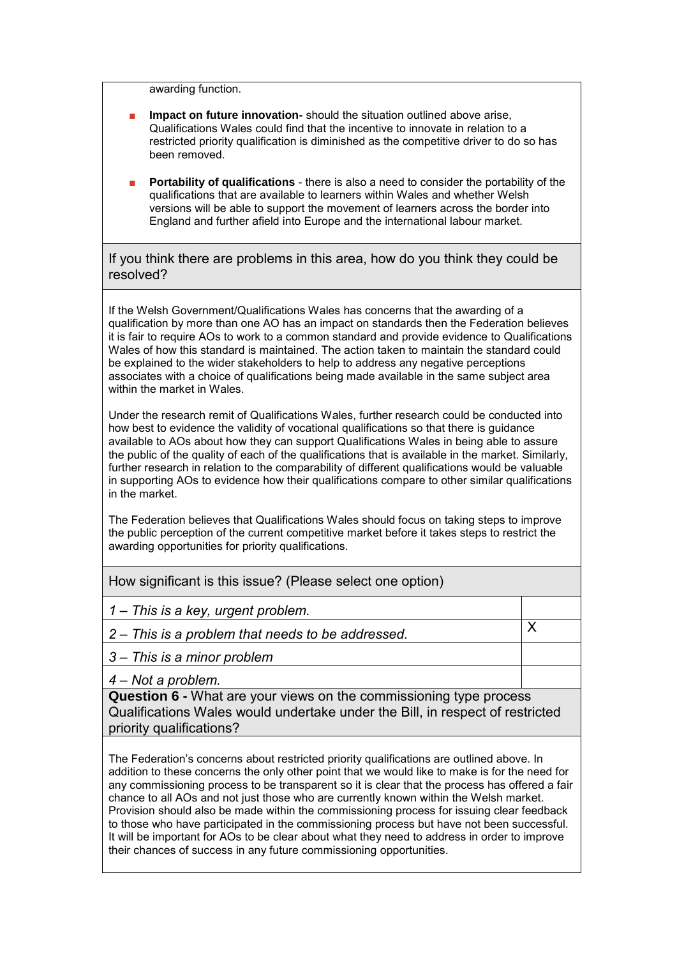awarding function.

- **Impact on future innovation-** should the situation outlined above arise, Qualifications Wales could find that the incentive to innovate in relation to a restricted priority qualification is diminished as the competitive driver to do so has been removed.
- **Portability of qualifications** there is also a need to consider the portability of the qualifications that are available to learners within Wales and whether Welsh versions will be able to support the movement of learners across the border into England and further afield into Europe and the international labour market.

If you think there are problems in this area, how do you think they could be resolved?

If the Welsh Government/Qualifications Wales has concerns that the awarding of a qualification by more than one AO has an impact on standards then the Federation believes it is fair to require AOs to work to a common standard and provide evidence to Qualifications Wales of how this standard is maintained. The action taken to maintain the standard could be explained to the wider stakeholders to help to address any negative perceptions associates with a choice of qualifications being made available in the same subject area within the market in Wales.

Under the research remit of Qualifications Wales, further research could be conducted into how best to evidence the validity of vocational qualifications so that there is guidance available to AOs about how they can support Qualifications Wales in being able to assure the public of the quality of each of the qualifications that is available in the market. Similarly, further research in relation to the comparability of different qualifications would be valuable in supporting AOs to evidence how their qualifications compare to other similar qualifications in the market.

The Federation believes that Qualifications Wales should focus on taking steps to improve the public perception of the current competitive market before it takes steps to restrict the awarding opportunities for priority qualifications.

How significant is this issue? (Please select one option)

*1 – This is a key, urgent problem.*

2 – *This is a problem that needs to be addressed.*  $\times$ 

*<sup>3</sup> – This is a minor problem*

*<sup>4</sup> – Not a problem.*

**Question 6 -** What are your views on the commissioning type process Qualifications Wales would undertake under the Bill, in respect of restricted priority qualifications?

The Federation's concerns about restricted priority qualifications are outlined above. In addition to these concerns the only other point that we would like to make is for the need for any commissioning process to be transparent so it is clear that the process has offered a fair chance to all AOs and not just those who are currently known within the Welsh market. Provision should also be made within the commissioning process for issuing clear feedback to those who have participated in the commissioning process but have not been successful. It will be important for AOs to be clear about what they need to address in order to improve their chances of success in any future commissioning opportunities.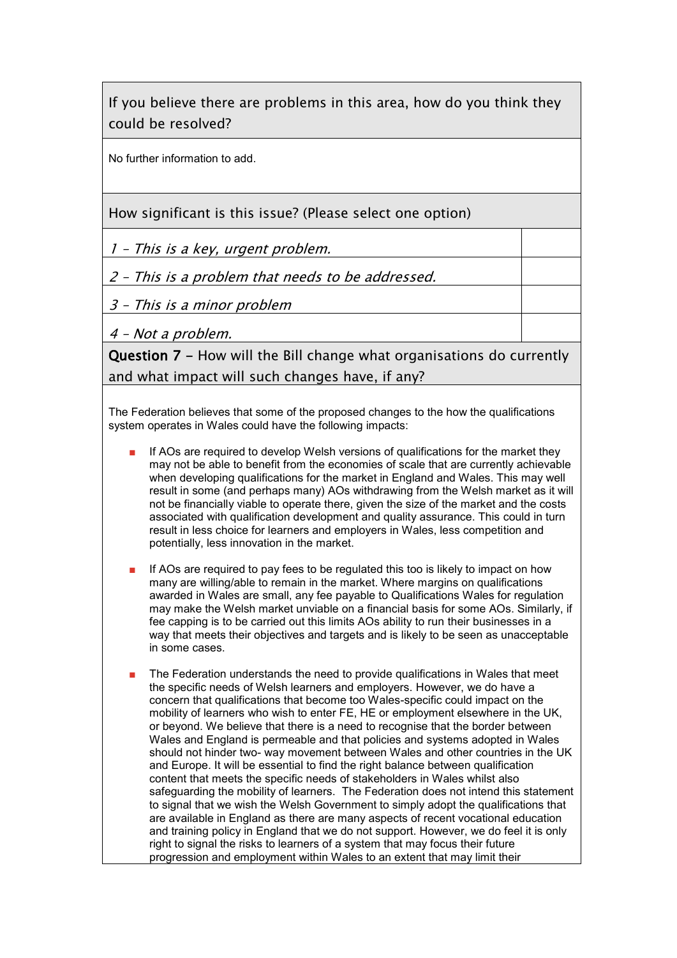If you believe there are problems in this area, how do you think they could be resolved?

No further information to add.

How significant is this issue? (Please select one option)

1 – This is a key, urgent problem.

2 – This is a problem that needs to be addressed.

3 – This is a minor problem

4 – Not a problem.

Question 7 - How will the Bill change what organisations do currently and what impact will such changes have, if any?

The Federation believes that some of the proposed changes to the how the qualifications system operates in Wales could have the following impacts:

- If AOs are required to develop Welsh versions of qualifications for the market they may not be able to benefit from the economies of scale that are currently achievable when developing qualifications for the market in England and Wales. This may well result in some (and perhaps many) AOs withdrawing from the Welsh market as it will not be financially viable to operate there, given the size of the market and the costs associated with qualification development and quality assurance. This could in turn result in less choice for learners and employers in Wales, less competition and potentially, less innovation in the market.
- If AOs are required to pay fees to be regulated this too is likely to impact on how many are willing/able to remain in the market. Where margins on qualifications awarded in Wales are small, any fee payable to Qualifications Wales for regulation may make the Welsh market unviable on a financial basis for some AOs. Similarly, if fee capping is to be carried out this limits AOs ability to run their businesses in a way that meets their objectives and targets and is likely to be seen as unacceptable in some cases.
- The Federation understands the need to provide qualifications in Wales that meet the specific needs of Welsh learners and employers. However, we do have a concern that qualifications that become too Wales-specific could impact on the mobility of learners who wish to enter FE, HE or employment elsewhere in the UK, or beyond. We believe that there is a need to recognise that the border between Wales and England is permeable and that policies and systems adopted in Wales should not hinder two- way movement between Wales and other countries in the UK and Europe. It will be essential to find the right balance between qualification content that meets the specific needs of stakeholders in Wales whilst also safeguarding the mobility of learners. The Federation does not intend this statement to signal that we wish the Welsh Government to simply adopt the qualifications that are available in England as there are many aspects of recent vocational education and training policy in England that we do not support. However, we do feel it is only right to signal the risks to learners of a system that may focus their future progression and employment within Wales to an extent that may limit their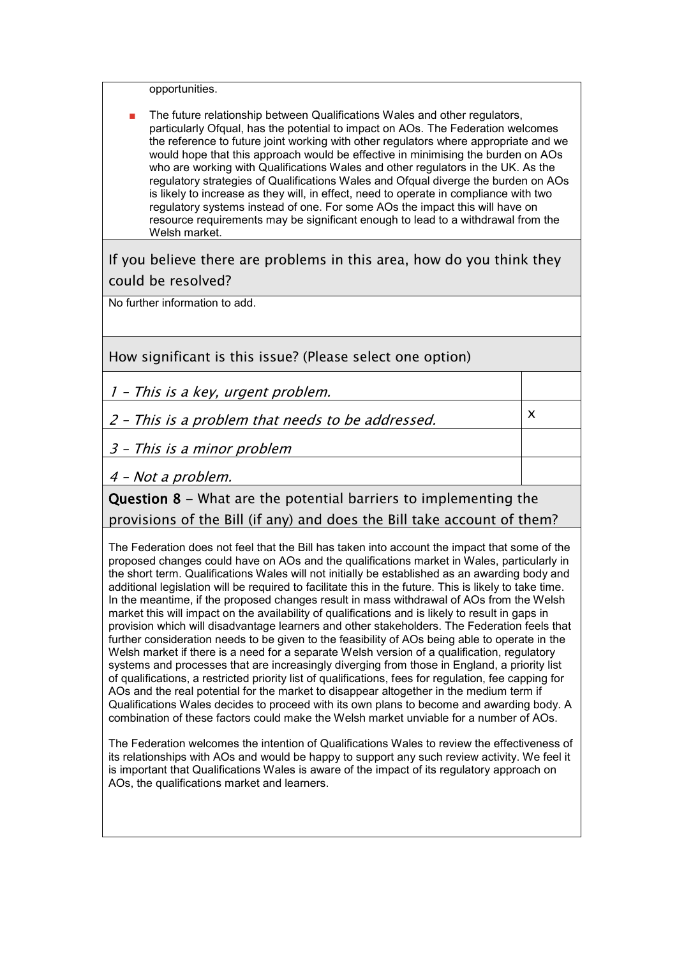opportunities.

The future relationship between Qualifications Wales and other regulators, particularly Ofqual, has the potential to impact on AOs. The Federation welcomes the reference to future joint working with other regulators where appropriate and we would hope that this approach would be effective in minimising the burden on AOs who are working with Qualifications Wales and other regulators in the UK. As the regulatory strategies of Qualifications Wales and Ofqual diverge the burden on AOs is likely to increase as they will, in effect, need to operate in compliance with two regulatory systems instead of one. For some AOs the impact this will have on resource requirements may be significant enough to lead to a withdrawal from the Welsh market.

If you believe there are problems in this area, how do you think they could be resolved?

No further information to add.

How significant is this issue? (Please select one option)

1 – This is a key, urgent problem.

2 – This is a problem that needs to be addressed.

3 – This is a minor problem

4 – Not a problem.

## Question 8 - What are the potential barriers to implementing the provisions of the Bill (if any) and does the Bill take account of them?

x

The Federation does not feel that the Bill has taken into account the impact that some of the proposed changes could have on AOs and the qualifications market in Wales, particularly in the short term. Qualifications Wales will not initially be established as an awarding body and additional legislation will be required to facilitate this in the future. This is likely to take time. In the meantime, if the proposed changes result in mass withdrawal of AOs from the Welsh market this will impact on the availability of qualifications and is likely to result in gaps in provision which will disadvantage learners and other stakeholders. The Federation feels that further consideration needs to be given to the feasibility of AOs being able to operate in the Welsh market if there is a need for a separate Welsh version of a qualification, regulatory systems and processes that are increasingly diverging from those in England, a priority list of qualifications, a restricted priority list of qualifications, fees for regulation, fee capping for AOs and the real potential for the market to disappear altogether in the medium term if Qualifications Wales decides to proceed with its own plans to become and awarding body. A combination of these factors could make the Welsh market unviable for a number of AOs.

The Federation welcomes the intention of Qualifications Wales to review the effectiveness of its relationships with AOs and would be happy to support any such review activity. We feel it is important that Qualifications Wales is aware of the impact of its regulatory approach on AOs, the qualifications market and learners.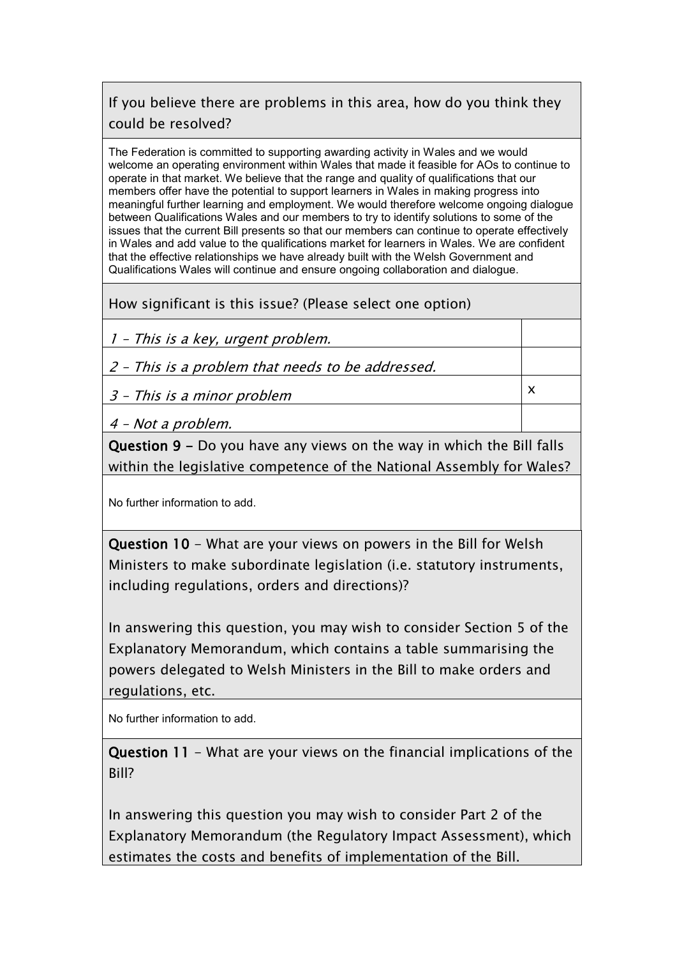# If you believe there are problems in this area, how do you think they could be resolved?

The Federation is committed to supporting awarding activity in Wales and we would welcome an operating environment within Wales that made it feasible for AOs to continue to operate in that market. We believe that the range and quality of qualifications that our members offer have the potential to support learners in Wales in making progress into meaningful further learning and employment. We would therefore welcome ongoing dialogue between Qualifications Wales and our members to try to identify solutions to some of the issues that the current Bill presents so that our members can continue to operate effectively in Wales and add value to the qualifications market for learners in Wales. We are confident that the effective relationships we have already built with the Welsh Government and Qualifications Wales will continue and ensure ongoing collaboration and dialogue.

How significant is this issue? (Please select one option)

1 – This is a key, urgent problem.

2 – This is a problem that needs to be addressed.

3 – This is a minor problem

x

4 – Not a problem.

Question 9 - Do you have any views on the way in which the Bill falls within the legislative competence of the National Assembly for Wales?

No further information to add.

Question 10 - What are your views on powers in the Bill for Welsh Ministers to make subordinate legislation (i.e. statutory instruments, including regulations, orders and directions)?

In answering this question, you may wish to consider Section 5 of the Explanatory Memorandum, which contains a table summarising the powers delegated to Welsh Ministers in the Bill to make orders and regulations, etc.

No further information to add.

Question 11 - What are your views on the financial implications of the Bill?

In answering this question you may wish to consider Part 2 of the Explanatory Memorandum (the Regulatory Impact Assessment), which estimates the costs and benefits of implementation of the Bill.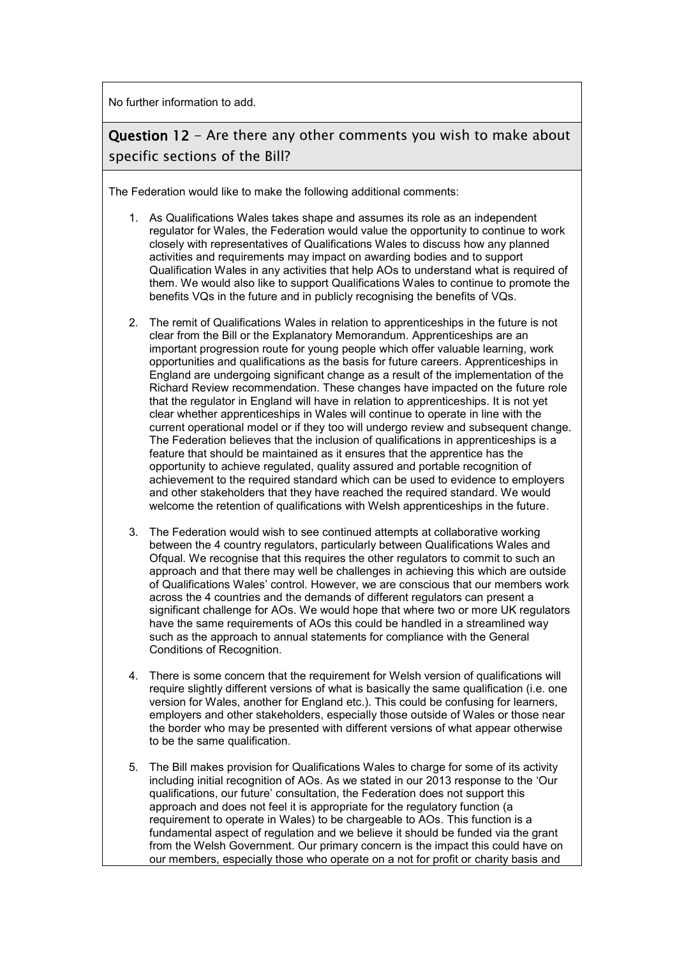No further information to add.

## Question 12 - Are there any other comments you wish to make about specific sections of the Bill?

The Federation would like to make the following additional comments:

- 1. As Qualifications Wales takes shape and assumes its role as an independent regulator for Wales, the Federation would value the opportunity to continue to work closely with representatives of Qualifications Wales to discuss how any planned activities and requirements may impact on awarding bodies and to support Qualification Wales in any activities that help AOs to understand what is required of them. We would also like to support Qualifications Wales to continue to promote the benefits VQs in the future and in publicly recognising the benefits of VQs.
- 2. The remit of Qualifications Wales in relation to apprenticeships in the future is not clear from the Bill or the Explanatory Memorandum. Apprenticeships are an important progression route for young people which offer valuable learning, work opportunities and qualifications as the basis for future careers. Apprenticeships in England are undergoing significant change as a result of the implementation of the Richard Review recommendation. These changes have impacted on the future role that the regulator in England will have in relation to apprenticeships. It is not yet clear whether apprenticeships in Wales will continue to operate in line with the current operational model or if they too will undergo review and subsequent change. The Federation believes that the inclusion of qualifications in apprenticeships is a feature that should be maintained as it ensures that the apprentice has the opportunity to achieve regulated, quality assured and portable recognition of achievement to the required standard which can be used to evidence to employers and other stakeholders that they have reached the required standard. We would welcome the retention of qualifications with Welsh apprenticeships in the future.
- 3. The Federation would wish to see continued attempts at collaborative working between the 4 country regulators, particularly between Qualifications Wales and Ofqual. We recognise that this requires the other regulators to commit to such an approach and that there may well be challenges in achieving this which are outside of Qualifications Wales' control. However, we are conscious that our members work across the 4 countries and the demands of different regulators can present a significant challenge for AOs. We would hope that where two or more UK regulators have the same requirements of AOs this could be handled in a streamlined way such as the approach to annual statements for compliance with the General Conditions of Recognition.
- 4. There is some concern that the requirement for Welsh version of qualifications will require slightly different versions of what is basically the same qualification (i.e. one version for Wales, another for England etc.). This could be confusing for learners, employers and other stakeholders, especially those outside of Wales or those near the border who may be presented with different versions of what appear otherwise to be the same qualification.
- 5. The Bill makes provision for Qualifications Wales to charge for some of its activity including initial recognition of AOs. As we stated in our 2013 response to the 'Our qualifications, our future' consultation, the Federation does not support this approach and does not feel it is appropriate for the regulatory function (a requirement to operate in Wales) to be chargeable to AOs. This function is a fundamental aspect of regulation and we believe it should be funded via the grant from the Welsh Government. Our primary concern is the impact this could have on our members, especially those who operate on a not for profit or charity basis and